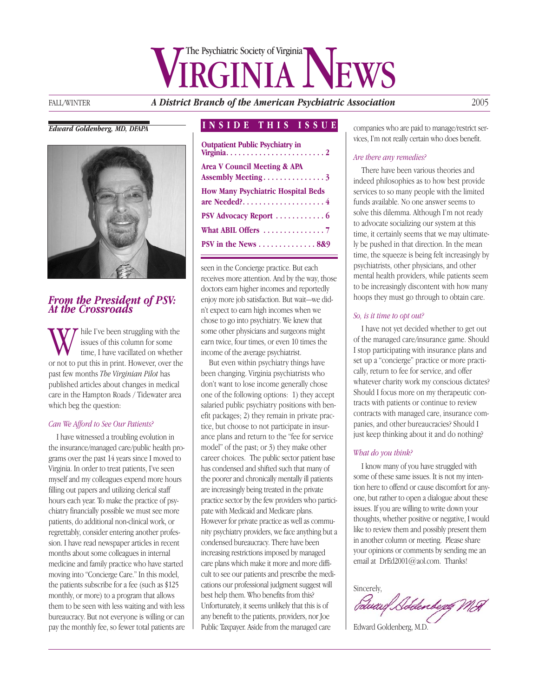# VIRGINIANEWS

FALL/WINTER *A District Branch of the American Psychiatric Association* 2005

#### *Edward Goldenberg, MD, DFAPA*



#### *From the President of PSV: At the Crossroads*

While I've been struggling with the issues of this column for some time, I have vacillated on whether or not to put this in print. However, over the issues of this column for some time, I have vacillated on whether past few months *The Virginian Pilot* has published articles about changes in medical care in the Hampton Roads / Tidewater area which beg the question:

#### *Can We Afford to See Our Patients?*

I have witnessed a troubling evolution in the insurance/managed care/public health programs over the past 14 years since I moved to Virginia. In order to treat patients, I've seen myself and my colleagues expend more hours filling out papers and utilizing clerical staff hours each year. To make the practice of psychiatry financially possible we must see more patients, do additional non-clinical work, or regrettably, consider entering another profession. I have read newspaper articles in recent months about some colleagues in internal medicine and family practice who have started moving into "Concierge Care." In this model, the patients subscribe for a fee (such as \$125 monthly, or more) to a program that allows them to be seen with less waiting and with less bureaucracy. But not everyone is willing or can pay the monthly fee, so fewer total patients are

#### **INSIDE THIS ISSUE**

| <b>Outpatient Public Psychiatry in</b>                        |
|---------------------------------------------------------------|
| <b>Area V Council Meeting &amp; APA</b><br>Assembly Meeting 3 |
| <b>How Many Psychiatric Hospital Beds</b>                     |
| PSV Advocacy Report $\dots\dots\dots\dots\dots$               |
|                                                               |
| PSV in the News $\dots \dots \dots \dots 889$                 |
|                                                               |

seen in the Concierge practice. But each receives more attention. And by the way, those doctors earn higher incomes and reportedly enjoy more job satisfaction. But wait—we didn't expect to earn high incomes when we chose to go into psychiatry. We knew that some other physicians and surgeons might earn twice, four times, or even 10 times the income of the average psychiatrist.

But even within psychiatry things have been changing. Virginia psychiatrists who don't want to lose income generally chose one of the following options: 1) they accept salaried public psychiatry positions with benefit packages; 2) they remain in private practice, but choose to not participate in insurance plans and return to the "fee for service model" of the past; or 3) they make other career choices. The public sector patient base has condensed and shifted such that many of the poorer and chronically mentally ill patients are increasingly being treated in the private practice sector by the few providers who participate with Medicaid and Medicare plans. However for private practice as well as community psychiatry providers, we face anything but a condensed bureaucracy. There have been increasing restrictions imposed by managed care plans which make it more and more difficult to see our patients and prescribe the medications our professional judgment suggest will best help them. Who benefits from this? Unfortunately, it seems unlikely that this is of any benefit to the patients, providers, nor Joe Public Taxpayer. Aside from the managed care

companies who are paid to manage/restrict services, I'm not really certain who does benefit.

#### *Are there any remedies?*

There have been various theories and indeed philosophies as to how best provide services to so many people with the limited funds available. No one answer seems to solve this dilemma. Although I'm not ready to advocate socializing our system at this time, it certainly seems that we may ultimately be pushed in that direction. In the mean time, the squeeze is being felt increasingly by psychiatrists, other physicians, and other mental health providers, while patients seem to be increasingly discontent with how many hoops they must go through to obtain care.

#### *So, is it time to opt out?*

I have not yet decided whether to get out of the managed care/insurance game. Should I stop participating with insurance plans and set up a "concierge" practice or more practically, return to fee for service, and offer whatever charity work my conscious dictates? Should I focus more on my therapeutic contracts with patients or continue to review contracts with managed care, insurance companies, and other bureaucracies? Should I just keep thinking about it and do nothing?

#### *What do you think?*

I know many of you have struggled with some of these same issues. It is not my intention here to offend or cause discomfort for anyone, but rather to open a dialogue about these issues. If you are willing to write down your thoughts, whether positive or negative, I would like to review them and possibly present them in another column or meeting. Please share your opinions or comments by sending me an email at DrEd2001@aol.com. Thanks!

Sincerely,<br>*{Swaxe| Sobdenbegg MA* 

Edward Goldenberg, M.D.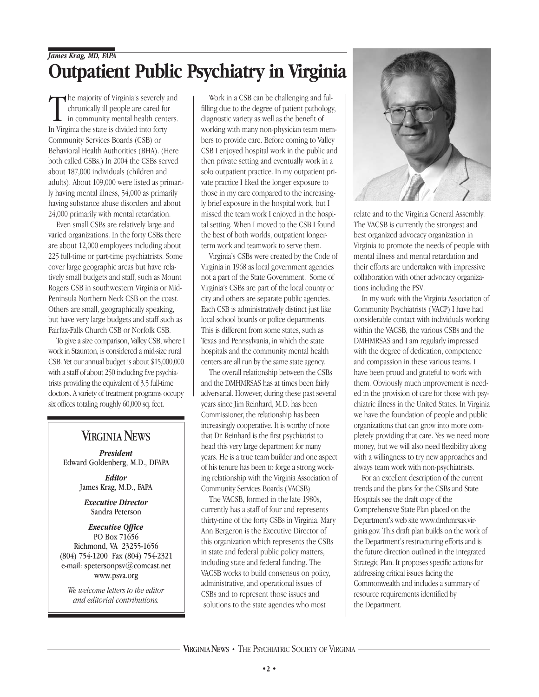# *James Krag, MD, FAPA* **Outpatient Public Psychiatry in Virginia**

The majority of Virginia's severely<br>
chronically ill people are cared forty<br>
In Virginia the state is divided into forty he majority of Virginia's severely and chronically ill people are cared for in community mental health centers. Community Services Boards (CSB) or Behavioral Health Authorities (BHA). (Here both called CSBs.) In 2004 the CSBs served about 187,000 individuals (children and adults). About 109,000 were listed as primarily having mental illness, 54,000 as primarily having substance abuse disorders and about 24,000 primarily with mental retardation.

Even small CSBs are relatively large and varied organizations. In the forty CSBs there are about 12,000 employees including about 225 full-time or part-time psychiatrists. Some cover large geographic areas but have relatively small budgets and staff, such as Mount Rogers CSB in southwestern Virginia or Mid-Peninsula Northern Neck CSB on the coast. Others are small, geographically speaking, but have very large budgets and staff such as Fairfax-Falls Church CSB or Norfolk CSB.

To give a size comparison, Valley CSB, where I work in Staunton, is considered a mid-size rural CSB. Yet our annual budget is about \$15,000,000 with a staff of about 250 including five psychiatrists providing the equivalent of 3.5 full-time doctors. A variety of treatment programs occupy six offices totaling roughly 60,000 sq. feet.

### **VIRGINIA NEWS**

*President* Edward Goldenberg, M.D., DFAPA

> *Editor* James Krag, M.D., FAPA

*Executive Director* Sandra Peterson

#### *Executive Office* PO Box 71656 Richmond, VA 23255-1656 (804) 754-1200 Fax (804) 754-2321 e-mail: spetersonpsv@comcast.net www.psva.org

*We welcome letters to the editor and editorial contributions.*

Work in a CSB can be challenging and fulfilling due to the degree of patient pathology, diagnostic variety as well as the benefit of working with many non-physician team members to provide care. Before coming to Valley CSB I enjoyed hospital work in the public and then private setting and eventually work in a solo outpatient practice. In my outpatient private practice I liked the longer exposure to those in my care compared to the increasingly brief exposure in the hospital work, but I missed the team work I enjoyed in the hospital setting. When I moved to the CSB I found the best of both worlds, outpatient longerterm work and teamwork to serve them.

Virginia's CSBs were created by the Code of Virginia in 1968 as local government agencies not a part of the State Government. Some of Virginia's CSBs are part of the local county or city and others are separate public agencies. Each CSB is administratively distinct just like local school boards or police departments. This is different from some states, such as Texas and Pennsylvania, in which the state hospitals and the community mental health centers are all run by the same state agency.

The overall relationship between the CSBs and the DMHMRSAS has at times been fairly adversarial. However, during these past several years since Jim Reinhard, M.D. has been Commissioner, the relationship has been increasingly cooperative. It is worthy of note that Dr. Reinhard is the first psychiatrist to head this very large department for many years. He is a true team builder and one aspect of his tenure has been to forge a strong working relationship with the Virginia Association of Community Services Boards (VACSB).

The VACSB, formed in the late 1980s, currently has a staff of four and represents thirty-nine of the forty CSBs in Virginia. Mary Ann Bergeron is the Executive Director of this organization which represents the CSBs in state and federal public policy matters, including state and federal funding. The VACSB works to build consensus on policy, administrative, and operational issues of CSBs and to represent those issues and solutions to the state agencies who most



relate and to the Virginia General Assembly. The VACSB is currently the strongest and best organized advocacy organization in Virginia to promote the needs of people with mental illness and mental retardation and their efforts are undertaken with impressive collaboration with other advocacy organizations including the PSV.

In my work with the Virginia Association of Community Psychiatrists (VACP) I have had considerable contact with individuals working within the VACSB, the various CSBs and the DMHMRSAS and I am regularly impressed with the degree of dedication, competence and compassion in these various teams. I have been proud and grateful to work with them. Obviously much improvement is needed in the provision of care for those with psychiatric illness in the United States. In Virginia we have the foundation of people and public organizations that can grow into more completely providing that care. Yes we need more money, but we will also need flexibility along with a willingness to try new approaches and always team work with non-psychiatrists.

For an excellent description of the current trends and the plans for the CSBs and State Hospitals see the draft copy of the Comprehensive State Plan placed on the Department's web site www.dmhmrsas.virginia.gov. This draft plan builds on the work of the Department's restructuring efforts and is the future direction outlined in the Integrated Strategic Plan. It proposes specific actions for addressing critical issues facing the Commonwealth and includes a summary of resource requirements identified by the Department.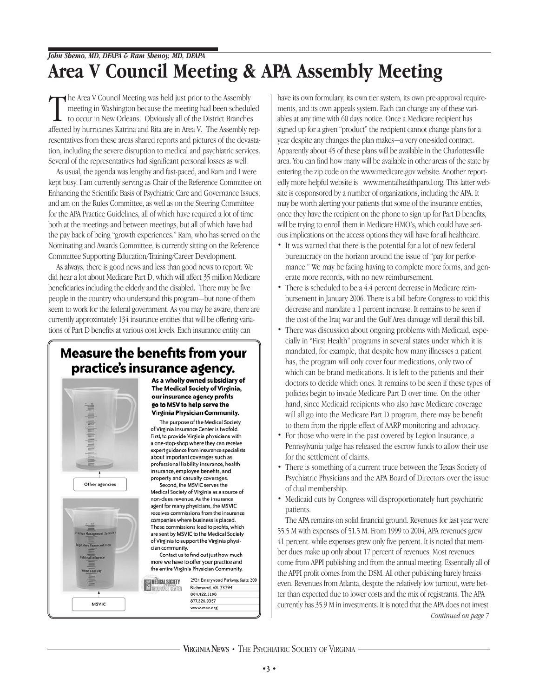## *John Shemo, MD, DFAPA & Ram Shenoy, MD, DFAPA* **Area V Council Meeting & APA Assembly Meeting**

The Area V Council Meeting was held just prior to the Assembly<br>meeting in Washington because the meeting had been scheduled<br>to occur in New Orleans. Obviously all of the District Branches<br>affected by hurricanes Katrina and he Area V Council Meeting was held just prior to the Assembly meeting in Washington because the meeting had been scheduled to occur in New Orleans. Obviously all of the District Branches resentatives from these areas shared reports and pictures of the devastation, including the severe disruption to medical and psychiatric services. Several of the representatives had significant personal losses as well.

As usual, the agenda was lengthy and fast-paced, and Ram and I were kept busy. I am currently serving as Chair of the Reference Committee on Enhancing the Scientific Basis of Psychiatric Care and Governance Issues, and am on the Rules Committee, as well as on the Steering Committee for the APA Practice Guidelines, all of which have required a lot of time both at the meetings and between meetings, but all of which have had the pay back of being "growth experiences." Ram, who has served on the Nominating and Awards Committee, is currently sitting on the Reference Committee Supporting Education/Training/Career Development.

As always, there is good news and less than good news to report. We did hear a lot about Medicare Part D, which will affect 35 million Medicare beneficiaries including the elderly and the disabled. There may be five people in the country who understand this program—but none of them seem to work for the federal government. As you may be aware, there are currently approximately 134 insurance entities that will be offering variations of Part D benefits at various cost levels. Each insurance entity can

## **Measure the benefits from your** practice's insurance agency.

Other agencies

Thite Coat Day

MSVIC

As a wholly owned subsidiary of The Medical Society of Virginia, our insurance agency profits go to MSV to help serve the Virginia Physician Community.

The purpose of the Medical Society of Virginia Insurance Center is twofold. First, to provide Virginia physicians with a one-stop-shop where they can receive expert guidance from insurance specialists about important coverages such as professional liability insurance, health insurance, employee benefits, and property and casualty coverages. Second, the MSVIC serves the

Medical Society of Virginia as a source of non-dues revenue. As the insurance agent for many physicians, the MSVIC receives commissions from the insurance companies where business is placed. These commissions lead to profits, which are sent by MSVIC to the Medical Society of Virginia to support the Virginia physician community.

Contact us to find out just how much more we have to offer your practice and the entire Virginia Physician Community.

MÉDICAL SOCIETY 2924 Emerywood Parkway, Suite 200 Richmond, VA 23294 **INSURANCE CENTER** 804.422.3100 877.226.9357 www.msv.org

have its own formulary, its own tier system, its own pre-approval requirements, and its own appeals system. Each can change any of these variables at any time with 60 days notice. Once a Medicare recipient has signed up for a given "product" the recipient cannot change plans for a year despite any changes the plan makes—a very one-sided contract. Apparently about 45 of these plans will be available in the Charlottesville area. You can find how many will be available in other areas of the state by entering the zip code on the www:medicare.gov website. Another reportedly more helpful website is www.mentalhealthpartd.org. This latter website is cosponsored by a number of organizations, including the APA. It may be worth alerting your patients that some of the insurance entities, once they have the recipient on the phone to sign up for Part D benefits, will be trying to enroll them in Medicare HMO's, which could have serious implications on the access options they will have for all healthcare.

- It was warned that there is the potential for a lot of new federal bureaucracy on the horizon around the issue of "pay for performance." We may be facing having to complete more forms, and generate more records, with no new reimbursement.
- There is scheduled to be a 4.4 percent decrease in Medicare reimbursement in January 2006. There is a bill before Congress to void this decrease and mandate a 1 percent increase. It remains to be seen if the cost of the Iraq war and the Gulf Area damage will derail this bill.
- There was discussion about ongoing problems with Medicaid, especially in "First Health" programs in several states under which it is mandated, for example, that despite how many illnesses a patient has, the program will only cover four medications, only two of which can be brand medications. It is left to the patients and their doctors to decide which ones. It remains to be seen if these types of policies begin to invade Medicare Part D over time. On the other hand, since Medicaid recipients who also have Medicare coverage will all go into the Medicare Part D program, there may be benefit to them from the ripple effect of AARP monitoring and advocacy.
- For those who were in the past covered by Legion Insurance, a Pennsylvania judge has released the escrow funds to allow their use for the settlement of claims.
- There is something of a current truce between the Texas Society of Psychiatric Physicians and the APA Board of Directors over the issue of dual membership.
- Medicaid cuts by Congress will disproportionately hurt psychiatric patients.

The APA remains on solid financial ground. Revenues for last year were 55.5 M with expenses of 51.5 M. From 1999 to 2004, APA revenues grew 41 percent. while expenses grew only five percent. It is noted that member dues make up only about 17 percent of revenues. Most revenues come from APPI publishing and from the annual meeting. Essentially all of the APPI profit comes from the DSM. All other publishing barely breaks even. Revenues from Atlanta, despite the relatively low turnout, were better than expected due to lower costs and the mix of registrants. The APA currently has 35.9 M in investments. It is noted that the APA does not invest *Continued on page 7*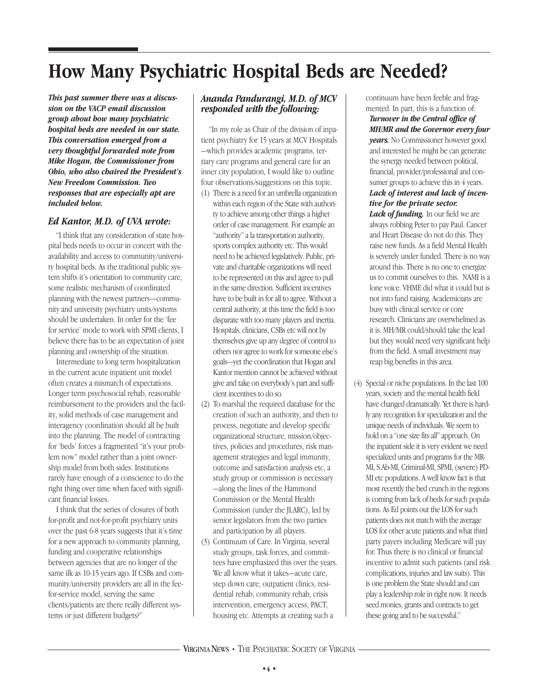# **How Many Psychiatric Hospital Beds are Needed?**

*This past summer there was a discussion on the VACP email discussion group about how many psychiatric hospital beds are needed in our state. This conversation emerged from a very thoughtful forwarded note from Mike Hogan, the Commissioner from Ohio, who also chaired the President's New Freedom Commission. Two responses that are especially apt are included below.* 

#### *Ed Kantor, M.D. of UVA wrote:*

"I think that any consideration of state hospital beds needs to occur in concert with the availability and access to community/university hospital beds. As the traditional public system shifts it's orientation to community care, some realistic mechanism of coordinated planning with the newest partners—community and university psychiatry units/systems should be undertaken. In order for the 'fee for service' mode to work with SPMI clients, I believe there has to be an expectation of joint planning and ownership of the situation.

Intermediate to long term hospitalization in the current acute inpatient unit model often creates a mismatch of expectations. Longer term psychosocial rehab, reasonable reimbursement to the providers and the facility, solid methods of case management and interagency coordination should all be built into the planning. The model of contracting for 'beds' forces a fragmented "it's your problem now" model rather than a joint ownership model from both sides. Institutions rarely have enough of a conscience to do the right thing over time when faced with significant financial losses.

I think that the series of closures of both for-profit and not-for-profit psychiatry units over the past 6-8 years suggests that it's time for a new approach to community planning, funding and cooperative relationships between agencies that are no longer of the same ilk as 10-15 years ago. If CSBs and community/university providers are all in the feefor-service model, serving the same clients/patients are there really different systems or just different budgets?"

#### *Ananda Pandurangi, M.D. of MCV responded with the following:*

"In my role as Chair of the division of inpatient psychiatry for 15 years at MCV Hospitals —which provides academic programs, tertiary care programs and general care for an inner city population, I would like to outline four observations/suggestions on this topic.

- (1) There is a need for an umbrella organization within each region of the State with authority to achieve among other things a higher order of case management. For example an "authority" a la transportation authority, sports complex authority etc. This would need to be achieved legislatively. Public, private and charitable organizations will need to be represented on this and agree to pull in the same direction. Sufficient incentives have to be built in for all to agree. Without a central authority, at this time the field is too disparate with too many players and inertia. Hospitals, clinicians, CSBs etc will not by themselves give up any degree of control to others nor agree to work for someone else's goals—yet the coordination that Hogan and Kantor mention cannot be achieved without give and take on everybody's part and sufficient incentives to do so.
- (2) To marshal the required database for the creation of such an authority, and then to process, negotiate and develop specific organizational structure, mission/objectives, policies and procedures, risk management strategies and legal immunity, outcome and satisfaction analysis etc, a study group or commission is necessary —along the lines of the Hammond Commission or the Mental Health Commission (under the JLARC), led by senior legislators from the two parties and participation by all players.
- (3) Continuum of Care. In Virginia, several study groups, task forces, and committees have emphasized this over the years. We all know what it takes—acute care, step down care, outpatient clinics, residential rehab, community rehab, crisis intervention, emergency access, PACT, housing etc. Attempts at creating such a

continuum have been feeble and fragmented. In part, this is a function of: *Turnover in the Central office of MH/MR and the Governor every four years.* No Commissioner however good and interested he might be can generate the synergy needed between political, financial, provider/professional and consumer groups to achieve this in 4 years. *Lack of interest and lack of incentive for the private sector.*

Lack of funding. In our field we are always robbing Peter to pay Paul. Cancer and Heart Disease do not do this. They raise new funds. As a field Mental Health is severely under funded. There is no way around this. There is no one to energize us to commit ourselves to this. NAMI is a lone voice. VHME did what it could but is not into fund raising. Academicians are busy with clinical service or core research. Clinicians are overwhelmed as it is. MH/MR could/should take the lead but they would need very significant help from the field. A small investment may reap big benefits in this area.

(4) Special or niche populations. In the last 100 years, society and the mental health field have changed dramatically. Yet there is hardly any recognition for specialization and the unique needs of individuals. We seem to hold on a "one size fits all" approach. On the inpatient side it is very evident we need specialized units and programs for the MR-MI, S.Ab-MI, Criminal-MI, SPMI, (severe) PD-MI etc populations. A well know fact is that most recently the bed crunch in the regions is coming from lack of beds for such populations. As Ed points out the LOS for such patients does not match with the average LOS for other acute patients and what third party payers including Medicare will pay for. Thus there is no clinical or financial incentive to admit such patients (and risk complications, injuries and law suits). This is one problem the State should and can play a leadership role in right now. It needs seed monies, grants and contracts to get these going and to be successful."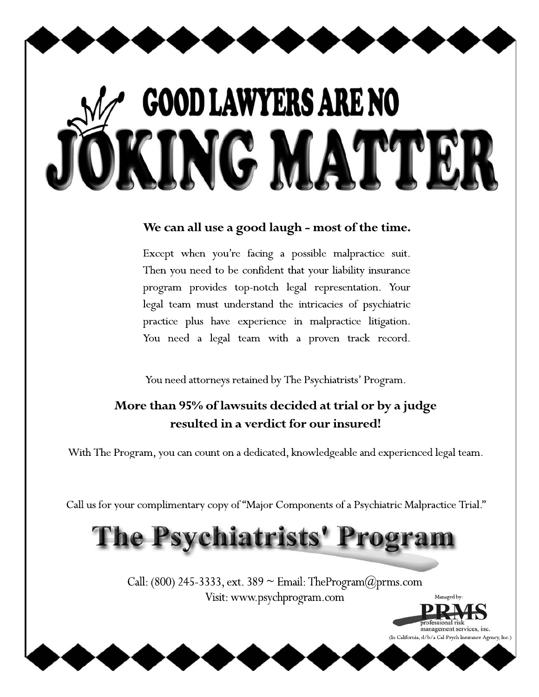# **GOOD LAWYERS ARE NO** NG MATT

### We can all use a good laugh - most of the time.

Except when you're facing a possible malpractice suit. Then you need to be confident that your liability insurance program provides top-notch legal representation. Your legal team must understand the intricacies of psychiatric practice plus have experience in malpractice litigation. You need a legal team with a proven track record.

You need attorneys retained by The Psychiatrists' Program.

## More than 95% of lawsuits decided at trial or by a judge resulted in a verdict for our insured!

With The Program, you can count on a dedicated, knowledgeable and experienced legal team.

Call us for your complimentary copy of "Major Components of a Psychiatric Malpractice Trial."

# The Psychiatrists' Program

Call: (800) 245-3333, ext. 389  $\sim$  Email: TheProgram $@prms.com$ Visit: www.psychprogram.com

> management services, inc. (In California, d/b/a Cal-Psych Insurance Agency, Inc.)

Managed by: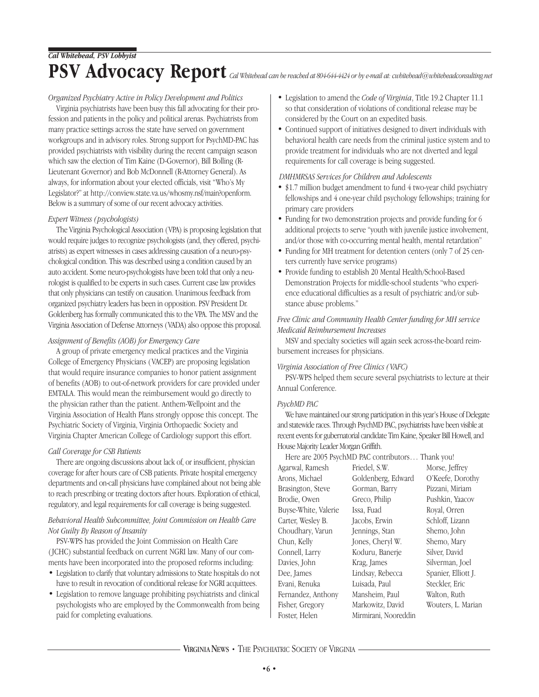#### *Organized Psychiatry Active in Policy Development and Politics*

Virginia psychiatrists have been busy this fall advocating for their profession and patients in the policy and political arenas. Psychiatrists from many practice settings across the state have served on government workgroups and in advisory roles. Strong support for PsychMD-PAC has provided psychiatrists with visibility during the recent campaign season which saw the election of Tim Kaine (D-Governor), Bill Bolling (R-Lieutenant Governor) and Bob McDonnell (R-Attorney General). As always, for information about your elected officials, visit "Who's My Legislator?" at http://conview.state.va.us/whosmy.nsf/main?openform. Below is a summary of some of our recent advocacy activities.

#### *Expert Witness (psychologists)*

The Virginia Psychological Association (VPA) is proposing legislation that would require judges to recognize psychologists (and, they offered, psychiatrists) as expert witnesses in cases addressing causation of a neuro-psychological condition. This was described using a condition caused by an auto accident. Some neuro-psychologists have been told that only a neurologist is qualified to be experts in such cases. Current case law provides that only physicians can testify on causation. Unanimous feedback from organized psychiatry leaders has been in opposition. PSV President Dr. Goldenberg has formally communicated this to the VPA. The MSV and the Virginia Association of Defense Attorneys (VADA) also oppose this proposal.

#### *Assignment of Benefits (AOB) for Emergency Care*

A group of private emergency medical practices and the Virginia College of Emergency Physicians ( VACEP) are proposing legislation that would require insurance companies to honor patient assignment of benefits (AOB) to out-of-network providers for care provided under EMTALA. This would mean the reimbursement would go directly to the physician rather than the patient. Anthem-Wellpoint and the Virginia Association of Health Plans strongly oppose this concept. The Psychiatric Society of Virginia, Virginia Orthopaedic Society and Virginia Chapter American College of Cardiology support this effort.

#### *Call Coverage for CSB Patients*

There are ongoing discussions about lack of, or insufficient, physician coverage for after hours care of CSB patients. Private hospital emergency departments and on-call physicians have complained about not being able to reach prescribing or treating doctors after hours. Exploration of ethical, regulatory, and legal requirements for call coverage is being suggested.

#### *Behavioral Health Subcommittee, Joint Commission on Health Care Not Guilty By Reason of Insanity*

PSV-WPS has provided the Joint Commission on Health Care ( JCHC) substantial feedback on current NGRI law. Many of our comments have been incorporated into the proposed reforms including:

- Legislation to clarify that voluntary admissions to State hospitals do not have to result in revocation of conditional release for NGRI acquittees.
- Legislation to remove language prohibiting psychiatrists and clinical psychologists who are employed by the Commonwealth from being paid for completing evaluations.
- Legislation to amend the *Code of Virginia*, Title 19.2 Chapter 11.1 so that consideration of violations of conditional release may be considered by the Court on an expedited basis.
- Continued support of initiatives designed to divert individuals with behavioral health care needs from the criminal justice system and to provide treatment for individuals who are not diverted and legal requirements for call coverage is being suggested.

#### *DMHMRSAS Services for Children and Adolescents*

- \$1.7 million budget amendment to fund 4 two-year child psychiatry fellowships and 4 one-year child psychology fellowships; training for primary care providers
- Funding for two demonstration projects and provide funding for 6 additional projects to serve "youth with juvenile justice involvement, and/or those with co-occurring mental health, mental retardation"
- Funding for MH treatment for detention centers (only 7 of 25 centers currently have service programs)
- Provide funding to establish 20 Mental Health/School-Based Demonstration Projects for middle-school students "who experience educational difficulties as a result of psychiatric and/or substance abuse problems."

#### *Free Clinic and Community Health Center funding for MH service Medicaid Reimbursement Increases*

MSV and specialty societies will again seek across-the-board reimbursement increases for physicians.

#### *Virginia Association of Free Clinics ( VAFC)*

PSV-WPS helped them secure several psychiatrists to lecture at their Annual Conference.

#### *PsychMD PAC*

We have maintained our strong participation in this year's House of Delegate and statewide races. Through PsychMD PAC, psychiatrists have been visible at recent events for gubernatorial candidate Tim Kaine, Speaker Bill Howell, and House Majority Leader Morgan Griffith.

Here are 2005 PsychMD PAC contributors… Thank you!

Agarwal, Ramesh Arons, Michael Brasington, Steve Brodie, Owen Buyse-White, Valerie Carter, Wesley B. Choudhary, Varun Chun, Kelly Connell, Larry Davies, John Dee, James Evani, Renuka Fernandez, Anthony Fisher, Gregory Foster, Helen

Friedel, S.W. Goldenberg, Edward Gorman, Barry Greco, Philip Issa, Fuad Jacobs, Erwin Jennings, Stan Jones, Cheryl W. Koduru, Banerje Krag, James Lindsay, Rebecca Luisada, Paul Mansheim, Paul Markowitz, David Mirmirani, Nooreddin Morse, Jeffrey O'Keefe, Dorothy Pizzani, Miriam Pushkin, Yaacov Royal, Orren Schloff, Lizann Shemo, John Shemo, Mary Silver, David Silverman, Joel Spanier, Elliott J. Steckler, Eric Walton, Ruth Wouters, L. Marian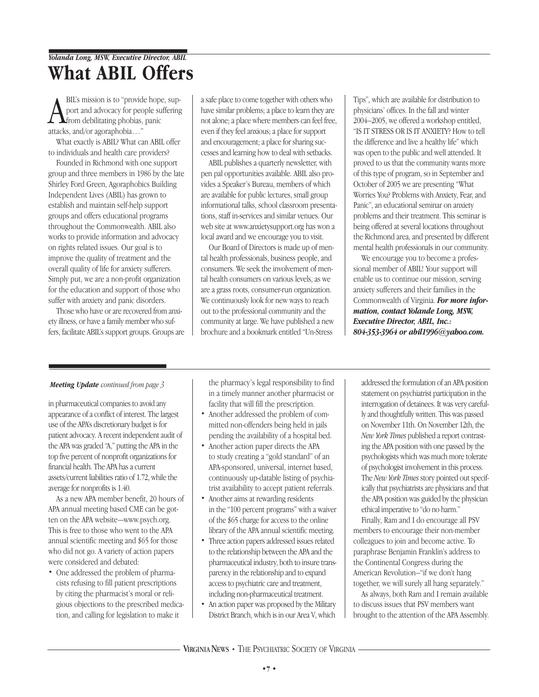## *Yolanda Long, MSW, Executive Director, ABIL* **What ABIL Offers**

**A** BIL's mission is to "provid<br>port and advocacy for pec<br>attacks, and/or agoraphobia..." BIL's mission is to "provide hope, support and advocacy for people suffering from debilitating phobias, panic

What exactly is ABIL? What can ABIL offer to individuals and health care providers?

Founded in Richmond with one support group and three members in 1986 by the late Shirley Ford Green, Agoraphobics Building Independent Lives (ABIL) has grown to establish and maintain self-help support groups and offers educational programs throughout the Commonwealth. ABIL also works to provide information and advocacy on rights related issues. Our goal is to improve the quality of treatment and the overall quality of life for anxiety sufferers. Simply put, we are a non-profit organization for the education and support of those who suffer with anxiety and panic disorders.

Those who have or are recovered from anxiety illness, or have a family member who suffers, facilitate ABIL's support groups. Groups are a safe place to come together with others who have similar problems; a place to learn they are not alone; a place where members can feel free, even if they feel anxious; a place for support and encouragement; a place for sharing successes and learning how to deal with setbacks.

ABIL publishes a quarterly newsletter, with pen pal opportunities available. ABIL also provides a Speaker's Bureau, members of which are available for public lectures, small group informational talks, school classroom presentations, staff in-services and similar venues. Our web site at www.anxietysupport.org has won a local award and we encourage you to visit.

Our Board of Directors is made up of mental health professionals, business people, and consumers. We seek the involvement of mental health consumers on various levels, as we are a grass roots, consumer-run organization. We continuously look for new ways to reach out to the professional community and the community at large. We have published a new brochure and a bookmark entitled "Un-Stress

Tips", which are available for distribution to physicians' offices. In the fall and winter 2004–2005, we offered a workshop entitled, "IS IT STRESS OR IS IT ANXIETY? How to tell the difference and live a healthy life" which was open to the public and well attended. It proved to us that the community wants more of this type of program, so in September and October of 2005 we are presenting "What Worries You? Problems with Anxiety, Fear, and Panic", an educational seminar on anxiety problems and their treatment. This seminar is being offered at several locations throughout the Richmond area, and presented by different mental health professionals in our community.

We encourage you to become a professional member of ABIL! Your support will enable us to continue our mission, serving anxiety sufferers and their families in the Commonwealth of Virginia. *For more information, contact Yolande Long, MSW, Executive Director, ABIL, Inc.: 804-353-3964 or abil1996@yahoo.com.*

#### *Meeting Update continued from page 3*

in pharmaceutical companies to avoid any appearance of a conflict of interest. The largest use of the APA's discretionary budget is for patient advocacy. A recent independent audit of the APA was graded "A," putting the APA in the top five percent of nonprofit organizations for financial health. The APA has a current assets/current liabilities ratio of 1.72, while the average for nonprofits is 1.40.

As a new APA member benefit, 20 hours of APA annual meeting based CME can be gotten on the APA website—www.psych.org. This is free to those who went to the APA annual scientific meeting and \$65 for those who did not go. A variety of action papers were considered and debated:

• One addressed the problem of pharmacists refusing to fill patient prescriptions by citing the pharmacist's moral or religious objections to the prescribed medication, and calling for legislation to make it

the pharmacy's legal responsibility to find in a timely manner another pharmacist or facility that will fill the prescription.

- Another addressed the problem of committed non-offenders being held in jails pending the availability of a hospital bed.
- Another action paper directs the APA to study creating a "gold standard" of an APA-sponsored, universal, internet based, continuously up-datable listing of psychiatrist availability to accept patient referrals.
- Another aims at rewarding residents in the "100 percent programs" with a waiver of the \$65 charge for access to the online library of the APA annual scientific meeting.
- Three action papers addressed issues related to the relationship between the APA and the pharmaceutical industry, both to insure transparency in the relationship and to expand access to psychiatric care and treatment, including non-pharmaceutical treatment.
- An action paper was proposed by the Military District Branch, which is in our Area V, which

addressed the formulation of an APA position statement on psychiatrist participation in the interrogation of detainees. It was very carefully and thoughtfully written. This was passed on November 11th. On November 12th, the *New York Times* published a report contrasting the APA position with one passed by the psychologists which was much more tolerate of psychologist involvement in this process. The *New York Times* story pointed out specifically that psychiatrists are physicians and that the APA position was guided by the physician ethical imperative to "do no harm."

Finally, Ram and I do encourage all PSV members to encourage their non-member colleagues to join and become active. To paraphrase Benjamin Franklin's address to the Continental Congress during the American Revolution–"if we don't hang together, we will surely all hang separately."

As always, both Ram and I remain available to discuss issues that PSV members want brought to the attention of the APA Assembly.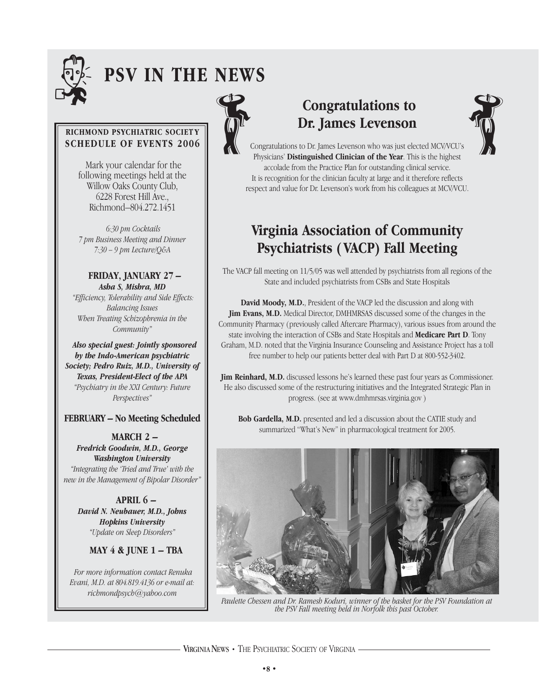

# . **PSV IN THE NEWS**

#### **RICHMOND PSYCHIATRIC SOCIET Y SCHEDULE OF EVENTS 2006**

Mark your calendar for the following meetings held at the Willow Oaks County Club, 6228 Forest Hill Ave., Richmond–804.272.1451

*6:30 pm Cocktails 7 pm Business Meeting and Dinner 7:30 – 9 pm Lecture/Q&A* 

**FRIDAY, JANUARY 27 –** *Asha S, Mishra, MD "Efficiency, Tolerability and Side Effects: Balancing Issues When Treating Schizophrenia in the Community"*

*Also special guest: Jointly sponsored by the Indo-American psychiatric Society; Pedro Ruiz, M.D., University of Texas, President-Elect of the APA "Psychiatry in the XXI Century: Future Perspectives"*

#### **FEBRUARY – No Meeting Scheduled**

**MARCH 2 –** *Fredrick Goodwin, M.D., George Washington University "Integrating the 'Tried and True' with the new in the Management of Bipolar Disorder"*

**APRIL 6 –**  *David N. Neubauer, M.D., Johns Hopkins University "Update on Sleep Disorders"*

**MAY 4 & JUNE 1 – TBA**

*For more information contact Renuka Evani, M.D. at 804.819.4136 or e-mail at: richmondpsych@yahoo.com*



# **Congratulations to Dr. James Levenson** Congratulations to<br>Dr. James Levenson<br>Congratulations to Dr. James Levenson<br>Congratulations to Dr. James Levenson who was just elected MCV/VCU's



Congratulations to Dr. James Levenson who was just elected MCV/VCU's Physicians' **Distinguished Clinician of the Year**. This is the highest accolade from the Practice Plan for outstanding clinical service. It is recognition for the clinician faculty at large and it therefore reflects respect and value for Dr. Levenson's work from his colleagues at MCV/VCU.

# **Virginia Association of Community Psychiatrists ( VACP) Fall Meeting**

The VACP fall meeting on 11/5/05 was well attended by psychiatrists from all regions of the State and included psychiatrists from CSBs and State Hospitals

**David Moody, M.D.**, President of the VACP led the discussion and along with **Jim Evans, M.D.** Medical Director, DMHMRSAS discussed some of the changes in the Community Pharmacy (previously called Aftercare Pharmacy), various issues from around the state involving the interaction of CSBs and State Hospitals and **Medicare Part D**. Tony Graham, M.D. noted that the Virginia Insurance Counseling and Assistance Project has a toll free number to help our patients better deal with Part D at 800-552-3402.

**Jim Reinhard, M.D.** discussed lessons he's learned these past four years as Commissioner. He also discussed some of the restructuring initiatives and the Integrated Strategic Plan in progress. (see at www.dmhmrsas.virginia.gov )

**Bob Gardella, M.D.** presented and led a discussion about the CATIE study and summarized "What's New" in pharmacological treatment for 2005.



*Paulette Chessen and Dr. Ramesh Koduri, winner of the basket for the PSV Foundation at the PSV Fall meeting held in Norfolk this past October.*

VIRGINIANEWS **•** THE PSYCHIATRIC SOCIETY OF VIRGINIA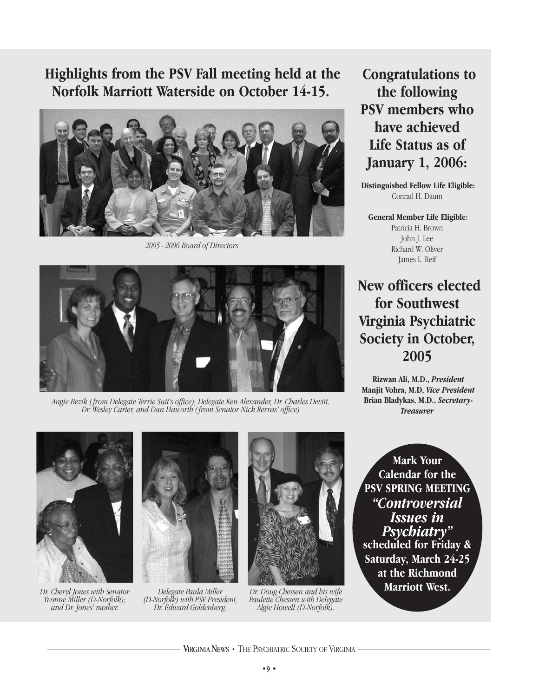# **Highlights from the PSV Fall meeting held at the Norfolk Marriott Waterside on October 14-15.**



*2005 - 2006 Board of Directors*



*Angie Bezik ( from Delegate Terrie Suit's office), Delegate Ken Alexander, Dr. Charles Devitt, Dr. Wesley Carter, and Dan Haworth ( from Senator Nick Rerras' office)*

**Congratulations to the following PSV members who have achieved Life Status as of January 1, 2006:**

**Distinguished Fellow Life Eligible:**  Conrad H. Daum

**General Member Life Eligible:**  Patricia H. Brown John J. Lee Richard W. Oliver James L. Reif

**New officers elected for Southwest Virginia Psychiatric Society in October, 2005**

**Rizwan Ali, M.D.,** *President* **Manjit Vohra, M.D,** *Vice President* **Brian Bladykas, M.D.,** *Secretary-Treasurer*



*Dr. Cheryl Jones with Senator Yvonne Miller (D-Norfolk); and Dr. Jones' mother.*



*Delegate Paula Miller (D-Norfolk) with PSV President, Dr. Edward Goldenberg.*



*Dr. Doug Chessen and his wife Paulette Chessen with Delegate Algie Howell (D-Norfolk).* 

**Mark Your Calendar for the PSV SPRING MEETING** *"Controversial Issues in Psychiatry"*  **scheduled for Friday & Saturday, March 24-25 at the Richmond Marriott West.** 

VIRGINIANEWS **•** THE PSYCHIATRIC SOCIETY OF VIRGINIA